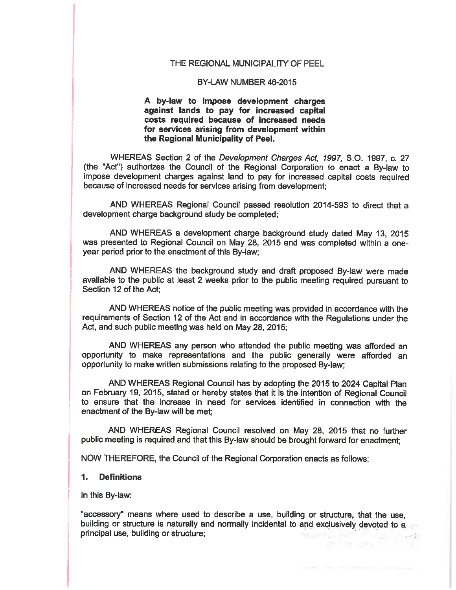#### THE REGIONAL MUNICIPALITY OF PEEL

#### BY-LAW NUMBER 46-2015

A by-law to impose development charges against lands to pay for increased capital costs required because of increased needs for services arising from development within the Regional Municipality of Peel.

WHEREAS Section 2 of the Development Charges Act, 1997, S.O. 1997, c. 27 (the "Act") authorizes the Council of the Regional Corporation to enact a By-law to impose development charges against land to pay for increased capital costs required because of increased needs for services arising from development;

AND WHEREAS Regional Council passed resolution 2014-593 to direct that a development charge background study be completed;

AND WHEREAS a development charge background study dated May 13, 2015 was presented to Regional Council on May 28, 2015 and was completed within a oneyear period prior to the enactment of this By-law;

AND WHEREAS the background study and draft proposed By-law were made available to the public at least 2 weeks prior to the public meeting required pursuant to Section 12 of the Act:

AND WHEREAS notice of the public meeting was provided in accordance with the requirements of Section 12 of the Act and in accordance with the Regulations under the Act, and such public meeting was held on May 28, 2015;

AND WHEREAS any person who attended the public meeting was afforded an opportunity to make representations and the public generally were afforded an opportunity to make written submissions relating to the proposed By-law:

AND WHEREAS Regional Council has by adopting the 2015 to 2024 Capital Plan on February 19, 2015, stated or hereby states that it is the intention of Regional Council to ensure that the increase in need for services identified in connection with the enactment of the By-law will be met;

AND WHEREAS Regional Council resolved on May 28, 2015 that no further public meeting is required and that this By-law should be brought forward for enactment:

NOW THEREFORE, the Council of the Regional Corporation enacts as follows:

#### $1.$ **Definitions**

In this By-law:

"accessory" means where used to describe a use, building or structure, that the use, building or structure is naturally and normally incidental to and exclusively devoted to a principal use, building or structure; to minimize the filles than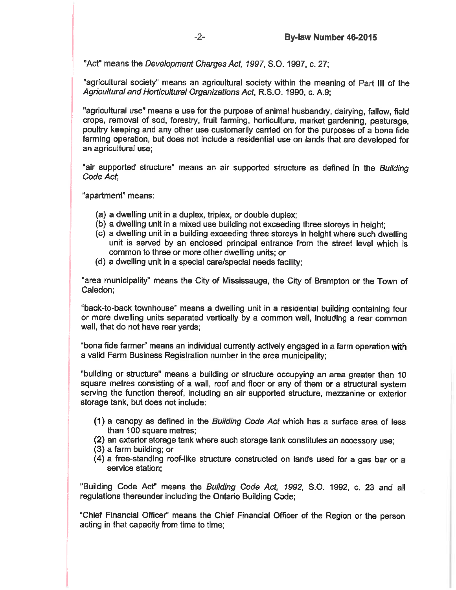"Act" means the Development Charges Act, 1997, S.O. 1997, c. 27;

"agricultural society" means an agricultural society within the meaning of Part III of the Agricultural and Horticultural Organizations Act, R.S.O. 1990, c. A.9;

"agricultural use" means a use for the purpose of animal husbandry, dairying, fallow, field crops, removal of sod, forestry, fruit farming, horticulture, market gardening, pasturage, poultry keeping and any other use customarily carried on for the purposes of a bona fide farming operation, but does not include a residential use on lands that are developed for an agricultural use;

"air supported structure" means an air supported structure as defined in the Building Code Act:

"apartment" means:

- (a) a dwelling unit in a duplex, triplex, or double duplex;
- (b) a dwelling unit in a mixed use building not exceeding three storeys in height:
- (c) a dwelling unit in a building exceeding three storeys in height where such dwelling unit is served by an enclosed principal entrance from the street level which is common to three or more other dwelling units; or
- (d) a dwelling unit in a special care/special needs facility;

"area municipality" means the City of Mississauga, the City of Brampton or the Town of Caledon:

"back-to-back townhouse" means a dwelling unit in a residential building containing four or more dwelling units separated vertically by a common wall, including a rear common wall, that do not have rear yards;

"bona fide farmer" means an individual currently actively engaged in a farm operation with a valid Farm Business Registration number in the area municipality;

"building or structure" means a building or structure occupying an area greater than 10 square metres consisting of a wall, roof and floor or any of them or a structural system serving the function thereof, including an air supported structure, mezzanine or exterior storage tank, but does not include:

- (1) a canopy as defined in the Building Code Act which has a surface area of less than 100 square metres:
- (2) an exterior storage tank where such storage tank constitutes an accessory use;
- (3) a farm building; or
- (4) a free-standing roof-like structure constructed on lands used for a gas bar or a service station:

"Building Code Act" means the Building Code Act, 1992, S.O. 1992, c. 23 and all regulations thereunder including the Ontario Building Code;

"Chief Financial Officer" means the Chief Financial Officer of the Region or the person acting in that capacity from time to time;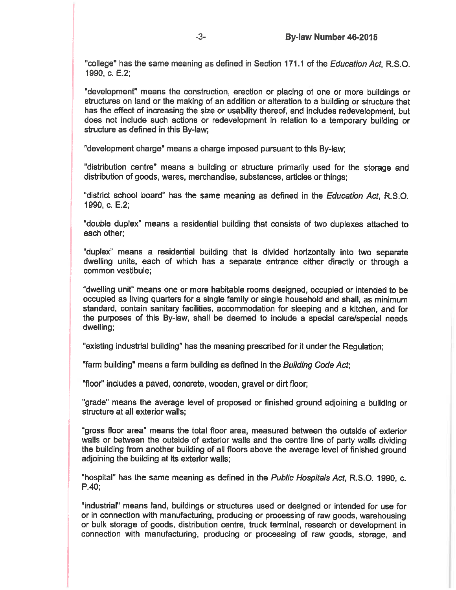"college" has the same meaning as defined in Section 171.1 of the *Education Act.* R.S.O. 1990, c. E.2;

"development" means the construction, erection or placing of one or more buildings or structures on land or the making of an addition or alteration to a building or structure that has the effect of increasing the size or usability thereof, and includes redevelopment, but does not include such actions or redevelopment in relation to a temporary building or structure as defined in this By-law:

"development charge" means a charge imposed pursuant to this By-law;

"distribution centre" means a building or structure primarily used for the storage and distribution of goods, wares, merchandise, substances, articles or things;

"district school board" has the same meaning as defined in the *Education Act*, R.S.O. 1990, c. E.2;

"double duplex" means a residential building that consists of two duplexes attached to each other;

"duplex" means a residential building that is divided horizontally into two separate dwelling units, each of which has a separate entrance either directly or through a common vestibule:

"dwelling unit" means one or more habitable rooms designed, occupied or intended to be occupied as living quarters for a single family or single household and shall, as minimum standard, contain sanitary facilities, accommodation for sleeping and a kitchen, and for the purposes of this By-law, shall be deemed to include a special care/special needs dwelling;

"existing industrial building" has the meaning prescribed for it under the Regulation:

"farm building" means a farm building as defined in the Building Code Act;

"floor" includes a paved, concrete, wooden, gravel or dirt floor;

"grade" means the average level of proposed or finished ground adjoining a building or structure at all exterior walls:

"gross floor area" means the total floor area, measured between the outside of exterior walls or between the outside of exterior walls and the centre line of party walls dividing the building from another building of all floors above the average level of finished ground adjoining the building at its exterior walls;

"hospital" has the same meaning as defined in the Public Hospitals Act. R.S.O. 1990. c.  $P.40:$ 

"industrial" means land, buildings or structures used or designed or intended for use for or in connection with manufacturing, producing or processing of raw goods, warehousing or bulk storage of goods, distribution centre, truck terminal, research or development in connection with manufacturing, producing or processing of raw goods, storage, and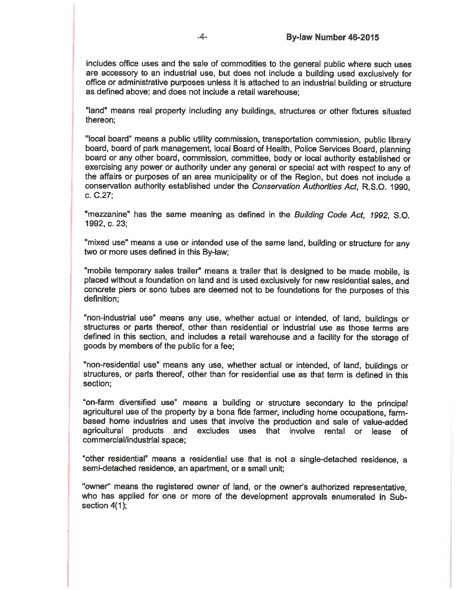includes office uses and the sale of commodities to the general public where such uses are accessory to an industrial use, but does not include a building used exclusively for office or administrative purposes unless it is attached to an industrial building or structure as defined above; and does not include a retail warehouse:

"land" means real property including any buildings, structures or other fixtures situated thereon:

"local board" means a public utility commission, transportation commission, public library board, board of park management, local Board of Health, Police Services Board, planning board or any other board, commission, committee, body or local authority established or exercising any power or authority under any general or special act with respect to any of the affairs or purposes of an area municipality or of the Region, but does not include a conservation authority established under the Conservation Authorities Act. R.S.O. 1990. c. C.27:

"mezzanine" has the same meaning as defined in the Building Code Act, 1992, S.O. 1992, c. 23:

"mixed use" means a use or intended use of the same land, building or structure for any two or more uses defined in this By-law:

"mobile temporary sales trailer" means a trailer that is designed to be made mobile, is placed without a foundation on land and is used exclusively for new residential sales, and concrete piers or sono tubes are deemed not to be foundations for the purposes of this definition:

"non-industrial use" means any use, whether actual or intended, of land, buildings or structures or parts thereof, other than residential or industrial use as those terms are defined in this section, and includes a retail warehouse and a facility for the storage of goods by members of the public for a fee;

"non-residential use" means any use, whether actual or intended, of land, buildings or structures, or parts thereof, other than for residential use as that term is defined in this section:

"on-farm diversified use" means a building or structure secondary to the principal agricultural use of the property by a bona fide farmer, including home occupations, farmbased home industries and uses that involve the production and sale of value-added agricultural products and excludes uses that involve rental or lease of commercial/industrial space;

"other residential" means a residential use that is not a single-detached residence, a semi-detached residence, an apartment, or a small unit;

"owner" means the registered owner of land, or the owner's authorized representative, who has applied for one or more of the development approvals enumerated in Subsection 4(1);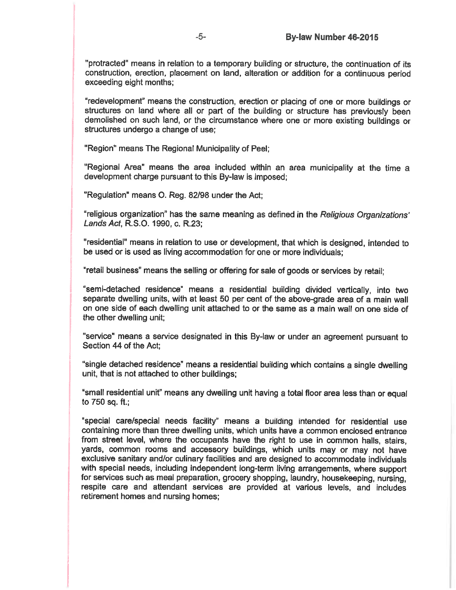"protracted" means in relation to a temporary building or structure, the continuation of its construction, erection, placement on land, alteration or addition for a continuous period exceeding eight months;

"redevelopment" means the construction, erection or placing of one or more buildings or structures on land where all or part of the building or structure has previously been demolished on such land, or the circumstance where one or more existing buildings or structures undergo a change of use:

"Region" means The Regional Municipality of Peel:

"Regional Area" means the area included within an area municipality at the time a development charge pursuant to this By-law is imposed;

"Regulation" means O. Reg. 82/98 under the Act;

"religious organization" has the same meaning as defined in the Religious Organizations' Lands Act, R.S.O. 1990, c. R.23;

"residential" means in relation to use or development, that which is designed, intended to be used or is used as living accommodation for one or more individuals;

"retail business" means the selling or offering for sale of goods or services by retail:

"semi-detached residence" means a residential building divided vertically, into two separate dwelling units, with at least 50 per cent of the above-grade area of a main wall on one side of each dwelling unit attached to or the same as a main wall on one side of the other dwelling unit;

"service" means a service designated in this By-law or under an agreement pursuant to Section 44 of the Act:

"single detached residence" means a residential building which contains a single dwelling unit, that is not attached to other buildings;

"small residential unit" means any dwelling unit having a total floor area less than or equal to 750 sq. ft.;

"special care/special needs facility" means a building intended for residential use containing more than three dwelling units, which units have a common enclosed entrance from street level, where the occupants have the right to use in common halls, stairs, yards, common rooms and accessory buildings, which units may or may not have exclusive sanitary and/or culinary facilities and are designed to accommodate individuals with special needs, including independent long-term living arrangements, where support for services such as meal preparation, grocery shopping, laundry, housekeeping, nursing, respite care and attendant services are provided at various levels, and includes retirement homes and nursing homes;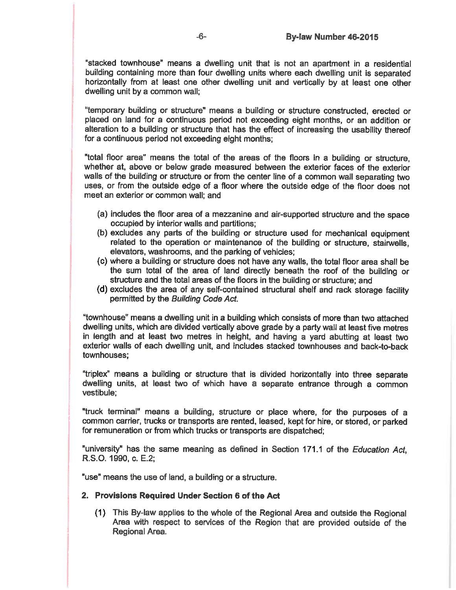"stacked townhouse" means a dwelling unit that is not an apartment in a residential building containing more than four dwelling units where each dwelling unit is separated horizontally from at least one other dwelling unit and vertically by at least one other dwelling unit by a common wall:

"temporary building or structure" means a building or structure constructed, erected or placed on land for a continuous period not exceeding eight months, or an addition or alteration to a building or structure that has the effect of increasing the usability thereof for a continuous period not exceeding eight months;

"total floor area" means the total of the areas of the floors in a building or structure. whether at, above or below grade measured between the exterior faces of the exterior walls of the building or structure or from the center line of a common wall separating two uses, or from the outside edge of a floor where the outside edge of the floor does not meet an exterior or common wall: and

- (a) includes the floor area of a mezzanine and air-supported structure and the space occupied by interior walls and partitions;
- (b) excludes any parts of the building or structure used for mechanical equipment related to the operation or maintenance of the building or structure, stairwells, elevators, washrooms, and the parking of vehicles;
- (c) where a building or structure does not have any walls, the total floor area shall be the sum total of the area of land directly beneath the roof of the building or structure and the total areas of the floors in the building or structure; and
- (d) excludes the area of any self-contained structural shelf and rack storage facility permitted by the Building Code Act.

"townhouse" means a dwelling unit in a building which consists of more than two attached dwelling units, which are divided vertically above grade by a party wall at least five metres in length and at least two metres in height, and having a yard abutting at least two exterior walls of each dwelling unit, and includes stacked townhouses and back-to-back townhouses:

"triplex" means a building or structure that is divided horizontally into three separate dwelling units, at least two of which have a separate entrance through a common vestibule;

"truck terminal" means a building, structure or place where, for the purposes of a common carrier, trucks or transports are rented, leased, kept for hire, or stored, or parked for remuneration or from which trucks or transports are dispatched;

"university" has the same meaning as defined in Section 171.1 of the Education Act, R.S.O. 1990, c. E.2;

"use" means the use of land, a building or a structure.

## 2. Provisions Required Under Section 6 of the Act

(1) This By-law applies to the whole of the Regional Area and outside the Regional Area with respect to services of the Region that are provided outside of the Regional Area.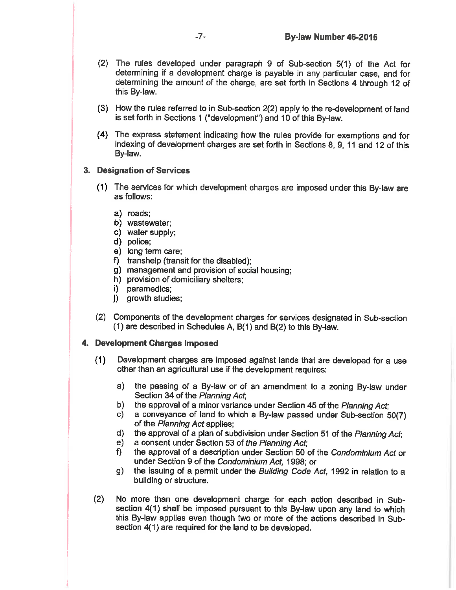- (2) The rules developed under paragraph 9 of Sub-section 5(1) of the Act for determining if a development charge is payable in any particular case, and for determining the amount of the charge, are set forth in Sections 4 through 12 of this By-law.
- (3) How the rules referred to in Sub-section 2(2) apply to the re-development of land is set forth in Sections 1 ("development") and 10 of this By-law.
- (4) The express statement indicating how the rules provide for exemptions and for indexing of development charges are set forth in Sections 8, 9, 11 and 12 of this By-law.

## 3. Designation of Services

- (1) The services for which development charges are imposed under this By-law are as follows:
	- a) roads;
	- b) wastewater;
	- c) water supply;
	- d) police;
	- e) long term care;
	- f) transhelp (transit for the disabled);
	- g) management and provision of social housing;
	- h) provision of domiciliary shelters;
	- i) paramedics:
	- j) growth studies;
- (2) Components of the development charges for services designated in Sub-section (1) are described in Schedules A, B(1) and B(2) to this By-law.

## 4. Development Charges Imposed

- Development charges are imposed against lands that are developed for a use  $(1)$ other than an agricultural use if the development requires:
	- the passing of a By-law or of an amendment to a zoning By-law under a) l Section 34 of the Planning Act;
	- the approval of a minor variance under Section 45 of the Planning Act; b)
	- a conveyance of land to which a By-law passed under Sub-section 50(7) c) of the Planning Act applies:
	- $d)$ the approval of a plan of subdivision under Section 51 of the Planning Act;
	- a consent under Section 53 of the Planning Act;  $e)$
	- the approval of a description under Section 50 of the Condominium Act or f). under Section 9 of the Condominium Act, 1998; or
	- the issuing of a permit under the Building Code Act, 1992 in relation to a g) building or structure.
- No more than one development charge for each action described in Sub- $(2)$ section 4(1) shall be imposed pursuant to this By-law upon any land to which this By-law applies even though two or more of the actions described in Subsection 4(1) are required for the land to be developed.

 $-7-$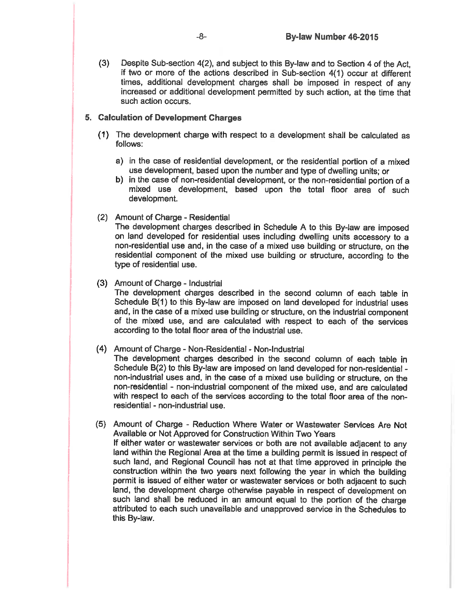Despite Sub-section 4(2), and subject to this By-law and to Section 4 of the Act,  $(3)$ if two or more of the actions described in Sub-section 4(1) occur at different times, additional development charges shall be imposed in respect of any increased or additional development permitted by such action, at the time that such action occurs.

## 5. Calculation of Development Charges

- (1) The development charge with respect to a development shall be calculated as follows:
	- a) in the case of residential development, or the residential portion of a mixed use development, based upon the number and type of dwelling units; or
	- b) in the case of non-residential development, or the non-residential portion of a mixed use development, based upon the total floor area of such development.
- (2) Amount of Charge Residential

The development charges described in Schedule A to this By-law are imposed on land developed for residential uses including dwelling units accessory to a non-residential use and, in the case of a mixed use building or structure, on the residential component of the mixed use building or structure, according to the type of residential use.

## (3) Amount of Charge - Industrial

The development charges described in the second column of each table in Schedule B(1) to this By-law are imposed on land developed for industrial uses and, in the case of a mixed use building or structure, on the industrial component of the mixed use, and are calculated with respect to each of the services according to the total floor area of the industrial use.

### (4) Amount of Charge - Non-Residential - Non-Industrial

The development charges described in the second column of each table in Schedule B(2) to this By-law are imposed on land developed for non-residential non-industrial uses and, in the case of a mixed use building or structure, on the non-residential - non-industrial component of the mixed use, and are calculated with respect to each of the services according to the total floor area of the nonresidential - non-industrial use.

(5) Amount of Charge - Reduction Where Water or Wastewater Services Are Not Available or Not Approved for Construction Within Two Years If either water or wastewater services or both are not available adjacent to any land within the Regional Area at the time a building permit is issued in respect of such land, and Regional Council has not at that time approved in principle the construction within the two years next following the year in which the building permit is issued of either water or wastewater services or both adjacent to such land, the development charge otherwise payable in respect of development on such land shall be reduced in an amount equal to the portion of the charge attributed to each such unavailable and unapproved service in the Schedules to this By-law.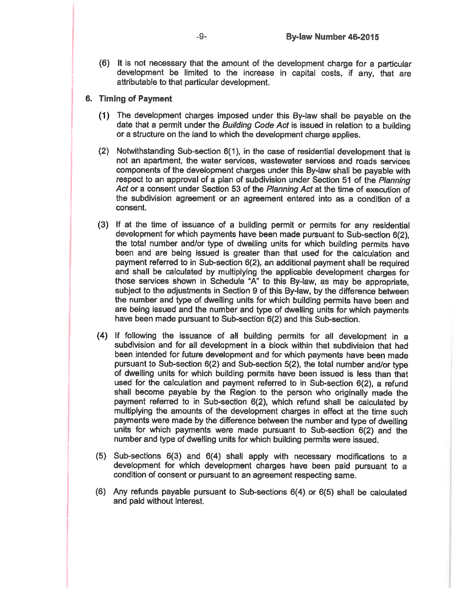(6) It is not necessary that the amount of the development charge for a particular development be limited to the increase in capital costs, if any, that are attributable to that particular development.

## 6. Timing of Payment

- (1) The development charges imposed under this By-law shall be payable on the date that a permit under the Building Code Act is issued in relation to a building or a structure on the land to which the development charge applies.
- (2) Notwithstanding Sub-section  $6(1)$ , in the case of residential development that is not an apartment, the water services, wastewater services and roads services components of the development charges under this By-law shall be payable with respect to an approval of a plan of subdivision under Section 51 of the Planning Act or a consent under Section 53 of the Planning Act at the time of execution of the subdivision agreement or an agreement entered into as a condition of a consent.
- (3) If at the time of issuance of a building permit or permits for any residential development for which payments have been made pursuant to Sub-section 6(2). the total number and/or type of dwelling units for which building permits have been and are being issued is greater than that used for the calculation and payment referred to in Sub-section 6(2), an additional payment shall be required and shall be calculated by multiplying the applicable development charges for those services shown in Schedule "A" to this By-law, as may be appropriate, subject to the adjustments in Section 9 of this By-law, by the difference between the number and type of dwelling units for which building permits have been and are being issued and the number and type of dwelling units for which payments have been made pursuant to Sub-section 6(2) and this Sub-section.
- (4) If following the issuance of all building permits for all development in a subdivision and for all development in a block within that subdivision that had been intended for future development and for which payments have been made pursuant to Sub-section 6(2) and Sub-section 5(2), the total number and/or type of dwelling units for which building permits have been issued is less than that used for the calculation and payment referred to in Sub-section 6(2), a refund shall become payable by the Region to the person who originally made the payment referred to in Sub-section 6(2), which refund shall be calculated by multiplying the amounts of the development charges in effect at the time such payments were made by the difference between the number and type of dwelling units for which payments were made pursuant to Sub-section 6(2) and the number and type of dwelling units for which building permits were issued.
- $(5)$  Sub-sections 6(3) and 6(4) shall apply with necessary modifications to a development for which development charges have been paid pursuant to a condition of consent or pursuant to an agreement respecting same.
- (6) Any refunds payable pursuant to Sub-sections  $6(4)$  or  $6(5)$  shall be calculated and paid without interest.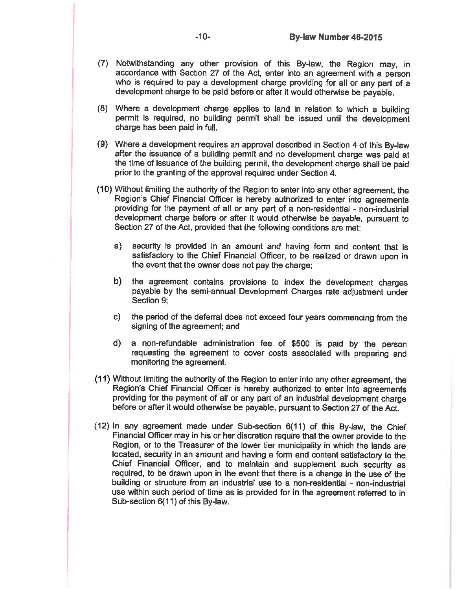- (7) Notwithstanding any other provision of this By-law, the Region may, in accordance with Section 27 of the Act, enter into an agreement with a person who is required to pay a development charge providing for all or any part of a development charge to be paid before or after it would otherwise be payable.
- (8) Where a development charge applies to land in relation to which a building permit is required, no building permit shall be issued until the development charge has been paid in full.
- (9) Where a development requires an approval described in Section 4 of this By-law after the issuance of a building permit and no development charge was paid at the time of issuance of the building permit, the development charge shall be paid prior to the granting of the approval required under Section 4.
- (10) Without limiting the authority of the Region to enter into any other agreement, the Region's Chief Financial Officer is hereby authorized to enter into agreements providing for the payment of all or any part of a non-residential - non-industrial development charge before or after it would otherwise be payable, pursuant to Section 27 of the Act, provided that the following conditions are met:
	- a) security is provided in an amount and having form and content that is satisfactory to the Chief Financial Officer, to be realized or drawn upon in the event that the owner does not pay the charge;
	- the agreement contains provisions to index the development charges b) payable by the semi-annual Development Charges rate adjustment under Section 9;
	- the period of the deferral does not exceed four years commencing from the  $\mathbf{c}$ ) signing of the agreement; and
	- d) a non-refundable administration fee of \$500 is paid by the person requesting the agreement to cover costs associated with preparing and monitoring the agreement.
- (11) Without limiting the authority of the Region to enter into any other agreement, the Region's Chief Financial Officer is hereby authorized to enter into agreements providing for the payment of all or any part of an industrial development charge before or after it would otherwise be payable, pursuant to Section 27 of the Act.
- (12) In any agreement made under Sub-section 6(11) of this By-law, the Chief Financial Officer may in his or her discretion require that the owner provide to the Region, or to the Treasurer of the lower tier municipality in which the lands are located, security in an amount and having a form and content satisfactory to the Chief Financial Officer, and to maintain and supplement such security as required, to be drawn upon in the event that there is a change in the use of the building or structure from an industrial use to a non-residential - non-industrial use within such period of time as is provided for in the agreement referred to in Sub-section 6(11) of this By-law.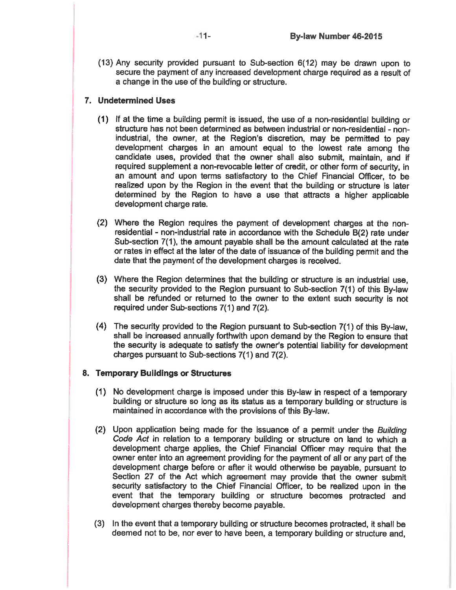$(13)$  Any security provided pursuant to Sub-section  $6(12)$  may be drawn upon to secure the payment of any increased development charge required as a result of a change in the use of the building or structure.

## 7. Undetermined Uses

- (1) If at the time a building permit is issued, the use of a non-residential building or structure has not been determined as between industrial or non-residential - nonindustrial, the owner, at the Region's discretion, may be permitted to pay development charges in an amount equal to the lowest rate among the candidate uses, provided that the owner shall also submit, maintain, and if required supplement a non-revocable letter of credit, or other form of security, in an amount and upon terms satisfactory to the Chief Financial Officer, to be realized upon by the Region in the event that the building or structure is later determined by the Region to have a use that attracts a higher applicable development charge rate.
- (2) Where the Region requires the payment of development charges at the nonresidential - non-industrial rate in accordance with the Schedule B(2) rate under Sub-section 7(1), the amount payable shall be the amount calculated at the rate or rates in effect at the later of the date of issuance of the building permit and the date that the payment of the development charges is received.
- (3) Where the Region determines that the building or structure is an industrial use. the security provided to the Region pursuant to Sub-section 7(1) of this By-law shall be refunded or returned to the owner to the extent such security is not required under Sub-sections 7(1) and 7(2).
- (4) The security provided to the Region pursuant to Sub-section 7(1) of this By-law, shall be increased annually forthwith upon demand by the Region to ensure that the security is adequate to satisfy the owner's potential liability for development charges pursuant to Sub-sections 7(1) and 7(2).

## 8. Temporary Buildings or Structures

- (1) No development charge is imposed under this By-law in respect of a temporary building or structure so long as its status as a temporary building or structure is maintained in accordance with the provisions of this By-law.
- (2) Upon application being made for the issuance of a permit under the Building Code Act in relation to a temporary building or structure on land to which a development charge applies, the Chief Financial Officer may require that the owner enter into an agreement providing for the payment of all or any part of the development charge before or after it would otherwise be payable, pursuant to Section 27 of the Act which agreement may provide that the owner submit security satisfactory to the Chief Financial Officer, to be realized upon in the event that the temporary building or structure becomes protracted and development charges thereby become payable.
- (3) In the event that a temporary building or structure becomes protracted, it shall be deemed not to be, nor ever to have been, a temporary building or structure and.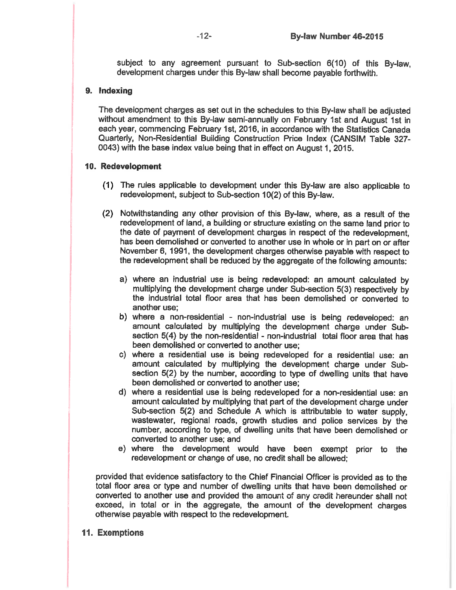subject to any agreement pursuant to Sub-section 6(10) of this By-law. development charges under this By-law shall become payable forthwith.

## 9. Indexing

The development charges as set out in the schedules to this By-law shall be adjusted without amendment to this By-law semi-annually on February 1st and August 1st in each year, commencing February 1st, 2016, in accordance with the Statistics Canada Quarterly, Non-Residential Building Construction Price Index (CANSIM Table 327-0043) with the base index value being that in effect on August 1, 2015.

## 10. Redevelopment

- (1) The rules applicable to development under this By-law are also applicable to redevelopment, subject to Sub-section 10(2) of this By-law.
- (2) Notwithstanding any other provision of this By-law, where, as a result of the redevelopment of land, a building or structure existing on the same land prior to the date of payment of development charges in respect of the redevelopment. has been demolished or converted to another use in whole or in part on or after November 6, 1991, the development charges otherwise payable with respect to the redevelopment shall be reduced by the aggregate of the following amounts:
	- a) where an industrial use is being redeveloped: an amount calculated by multiplying the development charge under Sub-section 5(3) respectively by the industrial total floor area that has been demolished or converted to another use:
	- b) where a non-residential non-industrial use is being redeveloped: an amount calculated by multiplying the development charge under Subsection 5(4) by the non-residential - non-industrial total floor area that has been demolished or converted to another use;
	- c) where a residential use is being redeveloped for a residential use; an amount calculated by multiplying the development charge under Subsection 5(2) by the number, according to type of dwelling units that have been demolished or converted to another use;
	- d) where a residential use is being redeveloped for a non-residential use: an amount calculated by multiplying that part of the development charge under Sub-section 5(2) and Schedule A which is attributable to water supply. wastewater, regional roads, growth studies and police services by the number, according to type, of dwelling units that have been demolished or converted to another use: and
	- e) where the development would have been exempt prior to the redevelopment or change of use, no credit shall be allowed;

provided that evidence satisfactory to the Chief Financial Officer is provided as to the total floor area or type and number of dwelling units that have been demolished or converted to another use and provided the amount of any credit hereunder shall not exceed, in total or in the aggregate, the amount of the development charges otherwise payable with respect to the redevelopment.

## 11. Exemptions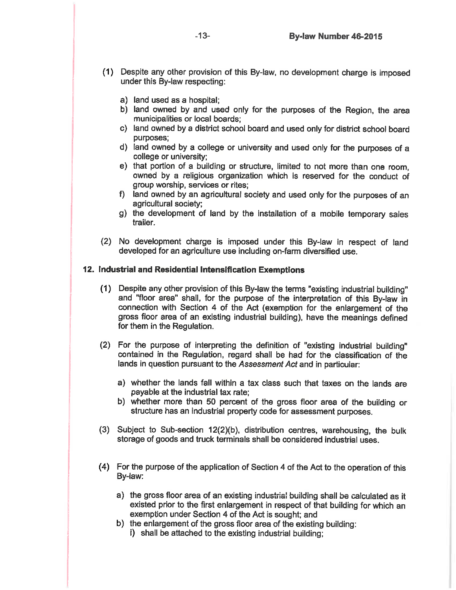- (1) Despite any other provision of this By-law, no development charge is imposed under this By-law respecting:
	- a) land used as a hospital:
	- b) land owned by and used only for the purposes of the Region, the area municipalities or local boards;
	- c) land owned by a district school board and used only for district school board purposes:
	- d) land owned by a college or university and used only for the purposes of a college or university;
	- e) that portion of a building or structure, limited to not more than one room. owned by a religious organization which is reserved for the conduct of group worship, services or rites;
	- f) land owned by an agricultural society and used only for the purposes of an agricultural society;
	- g) the development of land by the installation of a mobile temporary sales trailer.
- (2) No development charge is imposed under this By-law in respect of land developed for an agriculture use including on-farm diversified use.

#### 12. Industrial and Residential Intensification Exemptions

- (1) Despite any other provision of this By-law the terms "existing industrial building" and "floor area" shall, for the purpose of the interpretation of this By-law in connection with Section 4 of the Act (exemption for the enlargement of the gross floor area of an existing industrial building), have the meanings defined for them in the Regulation.
- (2) For the purpose of interpreting the definition of "existing industrial building" contained in the Regulation, regard shall be had for the classification of the lands in question pursuant to the Assessment Act and in particular:
	- a) whether the lands fall within a tax class such that taxes on the lands are payable at the industrial tax rate;
	- b) whether more than 50 percent of the gross floor area of the building or structure has an industrial property code for assessment purposes.
- (3) Subject to Sub-section 12(2)(b), distribution centres, warehousing, the bulk storage of goods and truck terminals shall be considered industrial uses.
- (4) For the purpose of the application of Section 4 of the Act to the operation of this By-law:
	- a) the gross floor area of an existing industrial building shall be calculated as it existed prior to the first enlargement in respect of that building for which an exemption under Section 4 of the Act is sought; and
	- b) the enlargement of the gross floor area of the existing building:
		- i) shall be attached to the existing industrial building;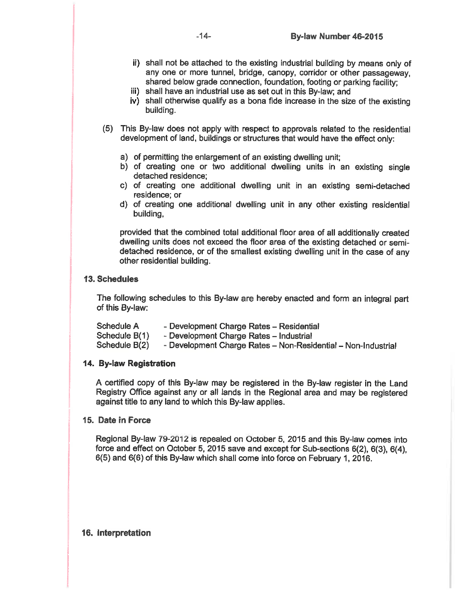- ii) shall not be attached to the existing industrial building by means only of any one or more tunnel, bridge, canopy, corridor or other passageway. shared below grade connection, foundation, footing or parking facility;
- iii) shall have an industrial use as set out in this By-law; and
- iv) shall otherwise qualify as a bona fide increase in the size of the existing building.
- (5) This By-law does not apply with respect to approvals related to the residential development of land, buildings or structures that would have the effect only:
	- a) of permitting the enlargement of an existing dwelling unit:
	- b) of creating one or two additional dwelling units in an existing single detached residence:
	- c) of creating one additional dwelling unit in an existing semi-detached residence: or
	- d) of creating one additional dwelling unit in any other existing residential building.

provided that the combined total additional floor area of all additionally created dwelling units does not exceed the floor area of the existing detached or semidetached residence, or of the smallest existing dwelling unit in the case of any other residential building.

## **13. Schedules**

The following schedules to this By-law are hereby enacted and form an integral part of this By-law:

| Schedule A    | - Development Charge Rates - Residential                      |
|---------------|---------------------------------------------------------------|
| Schedule B(1) | - Development Charge Rates - Industrial                       |
| Schedule B(2) | - Development Charge Rates - Non-Residential - Non-Industrial |

### 14. By-law Registration

A certified copy of this By-law may be registered in the By-law register in the Land Registry Office against any or all lands in the Regional area and may be registered against title to any land to which this By-law applies.

### 15. Date in Force

Regional By-law 79-2012 is repealed on October 5, 2015 and this By-law comes into force and effect on October 5, 2015 save and except for Sub-sections 6(2), 6(3), 6(4), 6(5) and 6(6) of this By-law which shall come into force on February 1, 2016.

### 16. Interpretation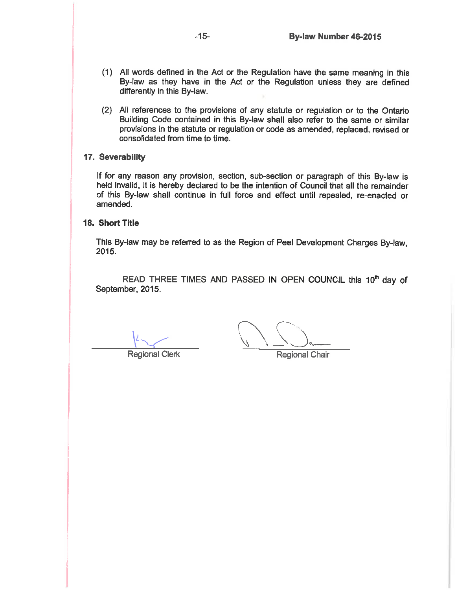- (1) All words defined in the Act or the Regulation have the same meaning in this By-law as they have in the Act or the Regulation unless they are defined differently in this By-law.
- (2) All references to the provisions of any statute or regulation or to the Ontario Building Code contained in this By-law shall also refer to the same or similar provisions in the statute or regulation or code as amended, replaced, revised or consolidated from time to time.

## 17. Severability

If for any reason any provision, section, sub-section or paragraph of this By-law is held invalid, it is hereby declared to be the intention of Council that all the remainder of this By-law shall continue in full force and effect until repealed, re-enacted or amended.

### 18. Short Title

This By-law may be referred to as the Region of Peel Development Charges By-law, 2015.

READ THREE TIMES AND PASSED IN OPEN COUNCIL this 10<sup>th</sup> day of September, 2015.

**Regional Clerk** 

**Regional Chair**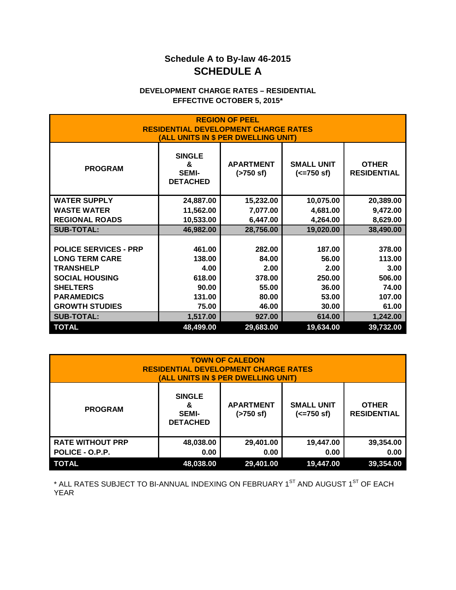## **Schedule A to By-law 46-2015 SCHEDULE A**

## **DEVELOPMENT CHARGE RATES – RESIDENTIAL EFFECTIVE OCTOBER 5, 2015\***

| <b>REGION OF PEEL</b><br><b>RESIDENTIAL DEVELOPMENT CHARGE RATES</b><br>(ALL UNITS IN \$ PER DWELLING UNIT) |                                                       |                                           |                                           |                                    |
|-------------------------------------------------------------------------------------------------------------|-------------------------------------------------------|-------------------------------------------|-------------------------------------------|------------------------------------|
| <b>PROGRAM</b>                                                                                              | <b>SINGLE</b><br>&<br><b>SEMI-</b><br><b>DETACHED</b> | <b>APARTMENT</b><br>$( > 750 \text{ sf})$ | <b>SMALL UNIT</b><br>$(<=750 \text{ sf})$ | <b>OTHER</b><br><b>RESIDENTIAL</b> |
| <b>WATER SUPPLY</b>                                                                                         | 24,887.00                                             | 15,232.00                                 | 10,075.00                                 | 20,389.00                          |
| <b>WASTE WATER</b>                                                                                          | 11,562.00                                             | 7,077.00                                  | 4,681.00                                  | 9,472.00                           |
| <b>REGIONAL ROADS</b>                                                                                       | 10,533.00                                             | 6,447.00                                  | 4,264.00                                  | 8,629.00                           |
| <b>SUB-TOTAL:</b>                                                                                           | 46,982.00                                             | 28,756.00                                 | 19,020.00                                 | 38,490.00                          |
|                                                                                                             |                                                       |                                           |                                           |                                    |
| <b>POLICE SERVICES - PRP</b>                                                                                | 461.00                                                | 282.00                                    | 187.00                                    | 378.00                             |
| <b>LONG TERM CARE</b>                                                                                       | 138.00                                                | 84.00                                     | 56.00                                     | 113.00                             |
| <b>TRANSHELP</b>                                                                                            | 4.00                                                  | 2.00                                      | 2.00                                      | 3.00                               |
| <b>SOCIAL HOUSING</b>                                                                                       | 618.00                                                | 378.00                                    | 250.00                                    | 506.00                             |
| <b>SHELTERS</b>                                                                                             | 90.00                                                 | 55.00                                     | 36.00                                     | 74.00                              |
| <b>PARAMEDICS</b>                                                                                           | 131.00                                                | 80.00                                     | 53.00                                     | 107.00                             |
| <b>GROWTH STUDIES</b>                                                                                       | 75.00                                                 | 46.00                                     | 30.00                                     | 61.00                              |
| <b>SUB-TOTAL:</b>                                                                                           | 1,517.00                                              | 927.00                                    | 614.00                                    | 1,242.00                           |
| <b>TOTAL</b>                                                                                                | 48,499.00                                             | 29,683.00                                 | 19,634.00                                 | 39,732.00                          |

| <b>TOWN OF CALEDON</b><br><b>RESIDENTIAL DEVELOPMENT CHARGE RATES</b><br>(ALL UNITS IN \$ PER DWELLING UNIT) |                                                       |                                  |                                           |                                    |
|--------------------------------------------------------------------------------------------------------------|-------------------------------------------------------|----------------------------------|-------------------------------------------|------------------------------------|
| <b>PROGRAM</b>                                                                                               | <b>SINGLE</b><br>&<br><b>SEMI-</b><br><b>DETACHED</b> | <b>APARTMENT</b><br>$($ >750 sf) | <b>SMALL UNIT</b><br>$(<=750 \text{ sf})$ | <b>OTHER</b><br><b>RESIDENTIAL</b> |
| <b>RATE WITHOUT PRP</b>                                                                                      | 48,038.00                                             | 29,401.00                        | 19,447.00                                 | 39,354.00                          |
| POLICE - O.P.P.                                                                                              | 0.00                                                  | 0.00                             | 0.00                                      | 0.00                               |
| <b>TOTAL</b>                                                                                                 | 48,038.00                                             | 29,401.00                        | 19,447.00                                 | 39,354.00                          |

 $^*$  ALL RATES SUBJECT TO BI-ANNUAL INDEXING ON FEBRUARY 1 $^{\mathrm{ST}}$  AND AUGUST 1 $^{\mathrm{ST}}$  OF EACH YEAR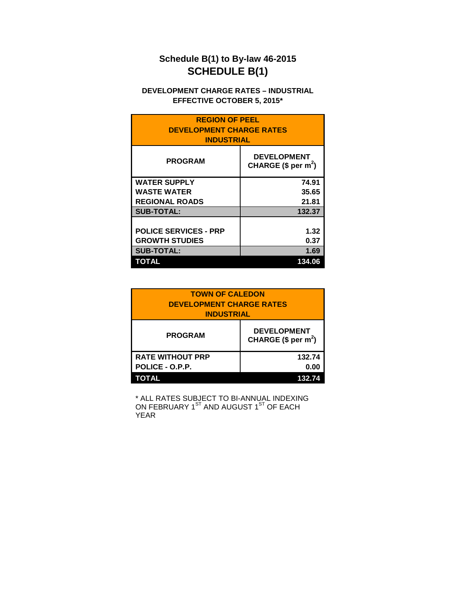# **Schedule B(1) to By-law 46-2015 SCHEDULE B(1)**

## **DEVELOPMENT CHARGE RATES – INDUSTRIAL EFFECTIVE OCTOBER 5, 2015\***

| <b>REGION OF PEEL</b><br><b>DEVELOPMENT CHARGE RATES</b><br><b>INDUSTRIAL</b> |                                                         |  |
|-------------------------------------------------------------------------------|---------------------------------------------------------|--|
| <b>PROGRAM</b>                                                                | <b>DEVELOPMENT</b><br>CHARGE $(\$$ per m <sup>2</sup> ) |  |
| <b>WATER SUPPLY</b>                                                           | 74.91                                                   |  |
| <b>WASTE WATER</b>                                                            | 35.65                                                   |  |
| <b>REGIONAL ROADS</b>                                                         | 21.81                                                   |  |
| <b>SUB-TOTAL:</b>                                                             | 132.37                                                  |  |
|                                                                               |                                                         |  |
| <b>POLICE SERVICES - PRP</b>                                                  | 1.32                                                    |  |
| <b>GROWTH STUDIES</b>                                                         | 0.37                                                    |  |
| <b>SUB-TOTAL:</b>                                                             | 1.69                                                    |  |
| TOTAL                                                                         | 134.06                                                  |  |

| <b>TOWN OF CALEDON</b><br><b>DEVELOPMENT CHARGE RATES</b><br><b>INDUSTRIAL</b> |                                           |
|--------------------------------------------------------------------------------|-------------------------------------------|
| <b>PROGRAM</b>                                                                 | <b>DEVELOPMENT</b><br>CHARGE $($ per m2)$ |
| <b>RATE WITHOUT PRP</b>                                                        | 132.74                                    |
| POLICE - O.P.P.                                                                | 0.00                                      |
| ΤΟΤΑL                                                                          | 132.74                                    |

\* ALL RATES SUBJECT TO BI-ANNUAL INDEXING ON FEBRUARY 1 $^{\rm ST}$  AND AUGUST 1 $^{\rm ST}$  OF EACH YEAR